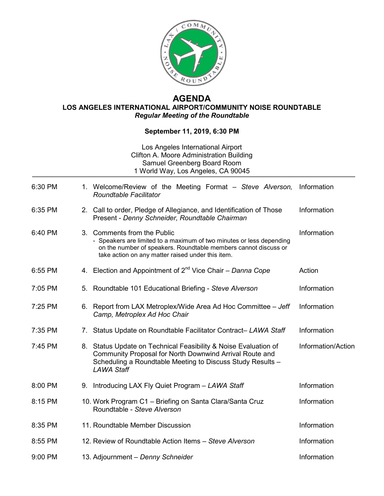

## **AGENDA LOS ANGELES INTERNATIONAL AIRPORT/COMMUNITY NOISE ROUNDTABLE** *Regular Meeting of the Roundtable*

## **September 11, 2019, 6:30 PM**

## Los Angeles International Airport Clifton A. Moore Administration Building Samuel Greenberg Board Room 1 World Way, Los Angeles, CA 90045

| 6:30 PM |    | 1. Welcome/Review of the Meeting Format – Steve Alverson,<br><b>Roundtable Facilitator</b>                                                                                                                                  | Information        |
|---------|----|-----------------------------------------------------------------------------------------------------------------------------------------------------------------------------------------------------------------------------|--------------------|
| 6:35 PM |    | 2. Call to order, Pledge of Allegiance, and Identification of Those<br>Present - Denny Schneider, Roundtable Chairman                                                                                                       | Information        |
| 6:40 PM |    | 3. Comments from the Public<br>- Speakers are limited to a maximum of two minutes or less depending<br>on the number of speakers. Roundtable members cannot discuss or<br>take action on any matter raised under this item. | Information        |
| 6:55 PM |    | 4. Election and Appointment of 2 <sup>nd</sup> Vice Chair - Danna Cope                                                                                                                                                      | Action             |
| 7:05 PM | 5. | Roundtable 101 Educational Briefing - Steve Alverson                                                                                                                                                                        | Information        |
| 7:25 PM |    | 6. Report from LAX Metroplex/Wide Area Ad Hoc Committee - Jeff<br>Camp, Metroplex Ad Hoc Chair                                                                                                                              | Information        |
| 7:35 PM | 7. | Status Update on Roundtable Facilitator Contract- LAWA Staff                                                                                                                                                                | Information        |
| 7:45 PM |    | 8. Status Update on Technical Feasibility & Noise Evaluation of<br>Community Proposal for North Downwind Arrival Route and<br>Scheduling a Roundtable Meeting to Discuss Study Results -<br><b>LAWA Staff</b>               | Information/Action |
| 8:00 PM | 9. | Introducing LAX Fly Quiet Program - LAWA Staff                                                                                                                                                                              | Information        |
| 8:15 PM |    | 10. Work Program C1 - Briefing on Santa Clara/Santa Cruz<br>Roundtable - Steve Alverson                                                                                                                                     | Information        |
| 8:35 PM |    | 11. Roundtable Member Discussion                                                                                                                                                                                            | Information        |
| 8:55 PM |    | 12. Review of Roundtable Action Items - Steve Alverson                                                                                                                                                                      | Information        |
| 9:00 PM |    | 13. Adjournment - Denny Schneider                                                                                                                                                                                           | Information        |